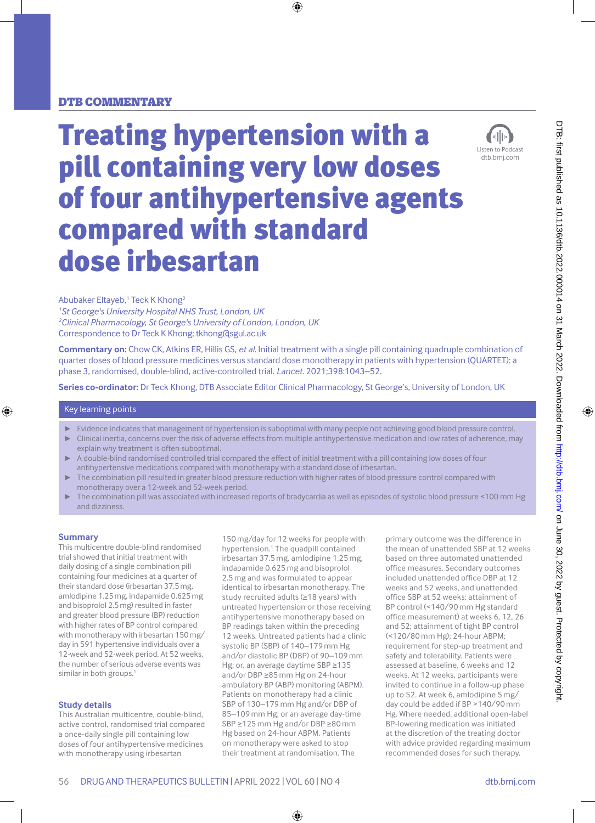### DTB commentary

# Treating hypertension with a pill containing very low doses of four antihypertensive agents compared with standard dose irbesartan



Abubaker Eltayeb,<sup>1</sup> Teck K Khong<sup>2</sup>

*1 St George's University Hospital NHS Trust, London, UK 2 Clinical Pharmacology, St George's University of London, London, UK* Correspondence to Dr Teck K Khong; tkhong@sgul.ac.uk

**Commentary on:** Chow CK, Atkins ER, Hillis GS, *et al*. Initial treatment with a single pill containing quadruple combination of quarter doses of blood pressure medicines versus standard dose monotherapy in patients with hypertension (QUARTET): a phase 3, randomised, double-blind, active-controlled trial. *Lancet*. 2021;398:1043–52.

**Series co-ordinator:** Dr Teck Khong, DTB Associate Editor Clinical Pharmacology, St George's, University of London, UK

#### Key learning points

- ► Evidence indicates that management of hypertension is suboptimal with many people not achieving good blood pressure control.
- ► Clinical inertia, concerns over the risk of adverse effects from multiple antihypertensive medication and low rates of adherence, may explain why treatment is often suboptimal.
- A double-blind randomised controlled trial compared the effect of initial treatment with a pill containing low doses of four antihypertensive medications compared with monotherapy with a standard dose of irbesartan.
- The combination pill resulted in greater blood pressure reduction with higher rates of blood pressure control compared with monotherapy over a 12-week and 52-week period.
- The combination pill was associated with increased reports of bradycardia as well as episodes of systolic blood pressure <100 mm Hg and dizziness.

#### **Summary**

This multicentre double-blind randomised trial showed that initial treatment with daily dosing of a single combination pill containing four medicines at a quarter of their standard dose (irbesartan 37.5mg, amlodipine 1.25mg, indapamide 0.625mg and bisoprolol 2.5mg) resulted in faster and greater blood pressure (BP) reduction with higher rates of BP control compared with monotherapy with irbesartan 150mg/ day in 591 hypertensive individuals over a 12-week and 52-week period. At 52 weeks, the number of serious adverse events was similar in both groups.<sup>1</sup>

#### **Study details**

This Australian multicentre, double-blind, active control, randomised trial compared a once-daily single pill containing low doses of four antihypertensive medicines with monotherapy using irbesartan

150 mg/day for 12 weeks for people with hypertension.<sup>1</sup> The quadpill contained irbesartan 37.5 mg, amlodipine 1.25 mg, indapamide 0.625 mg and bisoprolol 2.5 mg and was formulated to appear identical to irbesartan monotherapy. The study recruited adults (≥18 years) with untreated hypertension or those receiving antihypertensive monotherapy based on BP readings taken within the preceding 12 weeks. Untreated patients had a clinic systolic BP (SBP) of 140–179 mm Hg and/or diastolic BP (DBP) of 90–109 mm Hg; or, an average daytime SBP ≥135 and/or DBP ≥85 mm Hg on 24-hour ambulatory BP (ABP) monitoring (ABPM). Patients on monotherapy had a clinic SBP of 130–179 mm Hg and/or DBP of 85–109 mm Hg; or an average day-time SBP ≥125 mm Hg and/or DBP ≥80 mm Hg based on 24-hour ABPM. Patients on monotherapy were asked to stop their treatment at randomisation. The

primary outcome was the difference in the mean of unattended SBP at 12 weeks based on three automated unattended office measures. Secondary outcomes included unattended office DBP at 12 weeks and 52 weeks, and unattended office SBP at 52 weeks; attainment of BP control (<140/90 mm Hg standard office measurement) at weeks 6, 12, 26 and 52; attainment of tight BP control (<120/80 mm Hg); 24-hour ABPM; requirement for step-up treatment and safety and tolerability. Patients were assessed at baseline, 6 weeks and 12 weeks. At 12 weeks, participants were invited to continue in a follow-up phase up to 52. At week 6, amlodipine 5 mg/ day could be added if BP >140/90 mm Hg. Where needed, additional open-label BP-lowering medication was initiated at the discretion of the treating doctor with advice provided regarding maximum recommended doses for such therapy.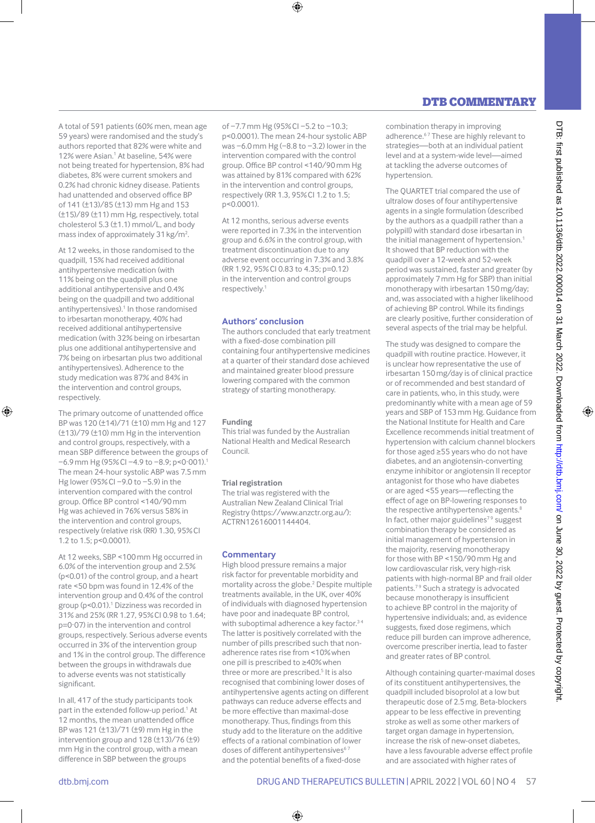#### A total of 591 patients (60% men, mean age 59 years) were randomised and the study's authors reported that 82% were white and 12% were Asian.<sup>1</sup> At baseline, 54% were not being treated for hypertension, 8% had diabetes, 8% were current smokers and 0.2% had chronic kidney disease. Patients had unattended and observed office BP of 141 (±13)/85 (±13) mm Hg and 153 (±15)/89 (±11) mm Hg, respectively, total cholesterol 5.3 (±1.1) mmol/L, and body mass index of approximately 31 kg/m<sup>2</sup>. .

At 12 weeks, in those randomised to the quadpill, 15% had received additional antihypertensive medication (with 11% being on the quadpill plus one additional antihypertensive and 0.4% being on the quadpill and two additional antihypertensives).<sup>1</sup> In those randomised to irbesartan monotherapy, 40% had received additional antihypertensive medication (with 32% being on irbesartan plus one additional antihypertensive and 7% being on irbesartan plus two additional antihypertensives). Adherence to the study medication was 87% and 84% in the intervention and control groups, respectively.

The primary outcome of unattended office BP was 120 (±14)/71 (±10) mm Hg and 127 (±13)/79 (±10) mm Hg in the intervention and control groups, respectively, with a mean SBP difference between the groups of −6.9mm Hg (95%CI −4.9 to −8.9; p<0·001).1 The mean 24-hour systolic ABP was 7.5mm Hg lower (95%CI −9.0 to −5.9) in the intervention compared with the control group. Office BP control <140/90mm Hg was achieved in 76% versus 58% in the intervention and control groups, respectively (relative risk (RR) 1.30, 95% CI 1.2 to 1.5; p<0.0001).

At 12 weeks, SBP <100mm Hg occurred in 6.0% of the intervention group and 2.5% (p<0.01) of the control group, and a heart rate <50 bpm was found in 12.4% of the intervention group and 0.4% of the control group (p<0.01).<sup>1</sup> Dizziness was recorded in 31% and 25% (RR 1.27, 95% CI 0.98 to 1.64; p=0·07) in the intervention and control groups, respectively. Serious adverse events occurred in 3% of the intervention group and 1% in the control group. The difference between the groups in withdrawals due to adverse events was not statistically significant.

In all, 417 of the study participants took part in the extended follow-up period.<sup>1</sup> At 12 months, the mean unattended office BP was 121 (±13)/71 (±9) mm Hg in the intervention group and 128 (±13)/76 (±9) mm Hg in the control group, with a mean difference in SBP between the groups

of −7.7mm Hg (95%CI −5.2 to −10.3; p<0.0001). The mean 24-hour systolic ABP was −6.0mm Hg (−8.8 to −3.2) lower in the intervention compared with the control group. Office BP control <140/90mm Hg was attained by 81% compared with 62% in the intervention and control groups, respectively (RR 1.3, 95% CI 1.2 to 1.5; p<0.0001).

At 12 months, serious adverse events were reported in 7.3% in the intervention group and 6.6% in the control group, with treatment discontinuation due to any adverse event occurring in 7.3% and 3.8% (RR 1.92, 95% CI 0.83 to 4.35; p=0.12) in the intervention and control groups respectively.1

#### **Authors' conclusion**

The authors concluded that early treatment with a fixed-dose combination pill containing four antihypertensive medicines at a quarter of their standard dose achieved and maintained greater blood pressure lowering compared with the common strategy of starting monotherapy.

#### **Funding**

This trial was funded by the Australian National Health and Medical Research Council.

#### **Trial registration**

The trial was registered with the Australian New Zealand Clinical Trial Registry [\(https://www.anzctr.org.au/](https://www.anzctr.org.au/)): AC TRN12616001144404.

#### **Commentary**

High blood pressure remains a major risk factor for preventable morbidity and mortality across the globe.<sup>2</sup> Despite multiple treatments available, in the UK, over 40% of individuals with diagnosed hypertension have poor and inadequate BP control, with suboptimal adherence a key factor.<sup>34</sup> The latter is positively correlated with the number of pills prescribed such that nonadherence rates rise from <10%when one pill is prescribed to ≥40%when three or more are prescribed.<sup>5</sup> It is also recognised that combining lower doses of antihypertensive agents acting on different pathways can reduce adverse effects and be more effective than maximal-dose monotherapy. Thus, findings from this study add to the literature on the additive effects of a rational combination of lower doses of different antihypertensives<sup>67</sup> and the potential benefits of a fixed-dose

# DTB commentary

combination therapy in improving adherence.<sup>67</sup> These are highly relevant to strategies—both at an individual patient level and at a system-wide level—aimed at tackling the adverse outcomes of hypertension.

The QUARTET trial compared the use of ultralow doses of four antihypertensive agents in a single formulation (described by the authors as a quadpill rather than a polypill) with standard dose irbesartan in the initial management of hypertension.<sup>1</sup> It showed that BP reduction with the quadpill over a 12-week and 52-week period was sustained, faster and greater (by approximately 7mm Hg for SBP) than initial monotherapy with irbesartan 150mg/day; and, was associated with a higher likelihood of achieving BP control. While its findings are clearly positive, further consideration of several aspects of the trial may be helpful.

The study was designed to compare the quadpill with routine practice. However, it is unclear how representative the use of irbesartan 150mg/day is of clinical practice or of recommended and best standard of care in patients, who, in this study, were predominantly white with a mean age of 59 years and SBP of 153mm Hg. Guidance from the National Institute for Health and Care Excellence recommends initial treatment of hypertension with calcium channel blockers for those aged ≥55 years who do not have diabetes, and an angiotensin-converting enzyme inhibitor or angiotensin II receptor antagonist for those who have diabetes or are aged <55 years—reflecting the effect of age on BP-lowering responses to the respective antihypertensive agents.<sup>8</sup> In fact, other major guidelines<sup>79</sup> suggest combination therapy be considered as initial management of hypertension in the majority, reserving monotherapy for those with BP <150/90mm Hg and low cardiovascular risk, very high-risk patients with high-normal BP and frail older patients.7 9 Such a strategy is advocated because monotherapy is insufficient to achieve BP control in the majority of hypertensive individuals; and, as evidence suggests, fixed dose regimens, which reduce pill burden can improve adherence, overcome prescriber inertia, lead to faster and greater rates of BP control.

Although containing quarter-maximal doses of its constituent antihypertensives, the quadpill included bisoprolol at a low but therapeutic dose of 2.5mg. Beta-blockers appear to be less effective in preventing stroke as well as some other markers of target organ damage in hypertension, increase the risk of new-onset diabetes, have a less favourable adverse effect profile and are associated with higher rates of